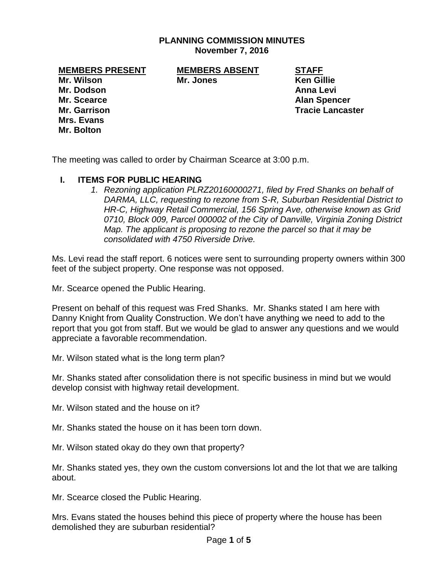### **PLANNING COMMISSION MINUTES November 7, 2016**

**Mr. Wilson Mr. Jones Ken Gillie Mr. Dodson Anna Levi Mr. Scearce Alan Spencer Mr. Garrison Tracie Lancaster Mrs. Evans Mr. Bolton**

**MEMBERS PRESENT MEMBERS ABSENT STAFF**

The meeting was called to order by Chairman Scearce at 3:00 p.m.

#### **I. ITEMS FOR PUBLIC HEARING**

*1. Rezoning application PLRZ20160000271, filed by Fred Shanks on behalf of DARMA, LLC, requesting to rezone from S-R, Suburban Residential District to HR-C, Highway Retail Commercial, 156 Spring Ave, otherwise known as Grid 0710, Block 009, Parcel 000002 of the City of Danville, Virginia Zoning District Map. The applicant is proposing to rezone the parcel so that it may be consolidated with 4750 Riverside Drive.* 

Ms. Levi read the staff report. 6 notices were sent to surrounding property owners within 300 feet of the subject property. One response was not opposed.

Mr. Scearce opened the Public Hearing.

Present on behalf of this request was Fred Shanks. Mr. Shanks stated I am here with Danny Knight from Quality Construction. We don't have anything we need to add to the report that you got from staff. But we would be glad to answer any questions and we would appreciate a favorable recommendation.

Mr. Wilson stated what is the long term plan?

Mr. Shanks stated after consolidation there is not specific business in mind but we would develop consist with highway retail development.

Mr. Wilson stated and the house on it?

Mr. Shanks stated the house on it has been torn down.

Mr. Wilson stated okay do they own that property?

Mr. Shanks stated yes, they own the custom conversions lot and the lot that we are talking about.

Mr. Scearce closed the Public Hearing.

Mrs. Evans stated the houses behind this piece of property where the house has been demolished they are suburban residential?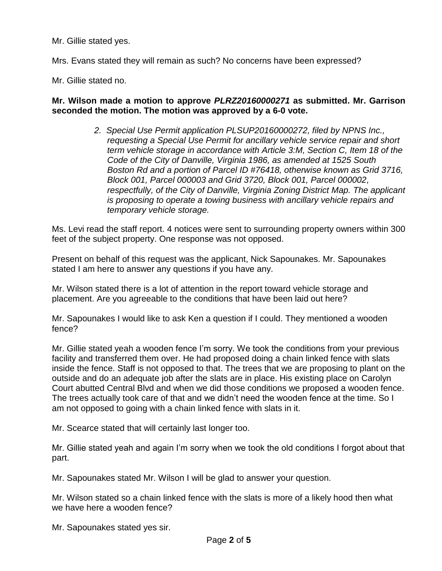Mr. Gillie stated yes.

Mrs. Evans stated they will remain as such? No concerns have been expressed?

Mr. Gillie stated no.

### **Mr. Wilson made a motion to approve** *PLRZ20160000271* **as submitted. Mr. Garrison seconded the motion. The motion was approved by a 6-0 vote.**

*2. Special Use Permit application PLSUP20160000272, filed by NPNS Inc., requesting a Special Use Permit for ancillary vehicle service repair and short term vehicle storage in accordance with Article 3:M, Section C, Item 18 of the Code of the City of Danville, Virginia 1986, as amended at 1525 South Boston Rd and a portion of Parcel ID #76418, otherwise known as Grid 3716, Block 001, Parcel 000003 and Grid 3720, Block 001, Parcel 000002, respectfully, of the City of Danville, Virginia Zoning District Map. The applicant is proposing to operate a towing business with ancillary vehicle repairs and temporary vehicle storage.* 

Ms. Levi read the staff report. 4 notices were sent to surrounding property owners within 300 feet of the subject property. One response was not opposed.

Present on behalf of this request was the applicant, Nick Sapounakes. Mr. Sapounakes stated I am here to answer any questions if you have any.

Mr. Wilson stated there is a lot of attention in the report toward vehicle storage and placement. Are you agreeable to the conditions that have been laid out here?

Mr. Sapounakes I would like to ask Ken a question if I could. They mentioned a wooden fence?

Mr. Gillie stated yeah a wooden fence I'm sorry. We took the conditions from your previous facility and transferred them over. He had proposed doing a chain linked fence with slats inside the fence. Staff is not opposed to that. The trees that we are proposing to plant on the outside and do an adequate job after the slats are in place. His existing place on Carolyn Court abutted Central Blvd and when we did those conditions we proposed a wooden fence. The trees actually took care of that and we didn't need the wooden fence at the time. So I am not opposed to going with a chain linked fence with slats in it.

Mr. Scearce stated that will certainly last longer too.

Mr. Gillie stated yeah and again I'm sorry when we took the old conditions I forgot about that part.

Mr. Sapounakes stated Mr. Wilson I will be glad to answer your question.

Mr. Wilson stated so a chain linked fence with the slats is more of a likely hood then what we have here a wooden fence?

Mr. Sapounakes stated yes sir.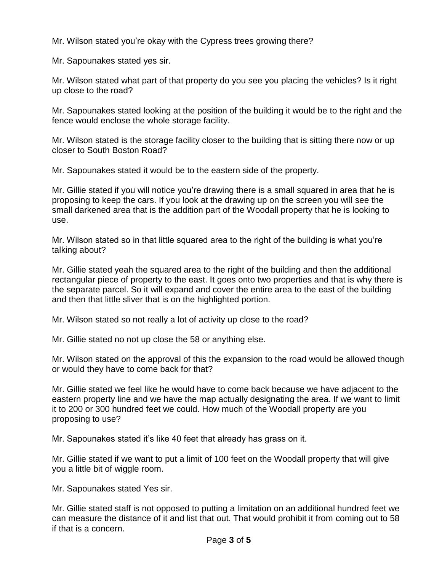Mr. Wilson stated you're okay with the Cypress trees growing there?

Mr. Sapounakes stated yes sir.

Mr. Wilson stated what part of that property do you see you placing the vehicles? Is it right up close to the road?

Mr. Sapounakes stated looking at the position of the building it would be to the right and the fence would enclose the whole storage facility.

Mr. Wilson stated is the storage facility closer to the building that is sitting there now or up closer to South Boston Road?

Mr. Sapounakes stated it would be to the eastern side of the property.

Mr. Gillie stated if you will notice you're drawing there is a small squared in area that he is proposing to keep the cars. If you look at the drawing up on the screen you will see the small darkened area that is the addition part of the Woodall property that he is looking to use.

Mr. Wilson stated so in that little squared area to the right of the building is what you're talking about?

Mr. Gillie stated yeah the squared area to the right of the building and then the additional rectangular piece of property to the east. It goes onto two properties and that is why there is the separate parcel. So it will expand and cover the entire area to the east of the building and then that little sliver that is on the highlighted portion.

Mr. Wilson stated so not really a lot of activity up close to the road?

Mr. Gillie stated no not up close the 58 or anything else.

Mr. Wilson stated on the approval of this the expansion to the road would be allowed though or would they have to come back for that?

Mr. Gillie stated we feel like he would have to come back because we have adjacent to the eastern property line and we have the map actually designating the area. If we want to limit it to 200 or 300 hundred feet we could. How much of the Woodall property are you proposing to use?

Mr. Sapounakes stated it's like 40 feet that already has grass on it.

Mr. Gillie stated if we want to put a limit of 100 feet on the Woodall property that will give you a little bit of wiggle room.

Mr. Sapounakes stated Yes sir.

Mr. Gillie stated staff is not opposed to putting a limitation on an additional hundred feet we can measure the distance of it and list that out. That would prohibit it from coming out to 58 if that is a concern.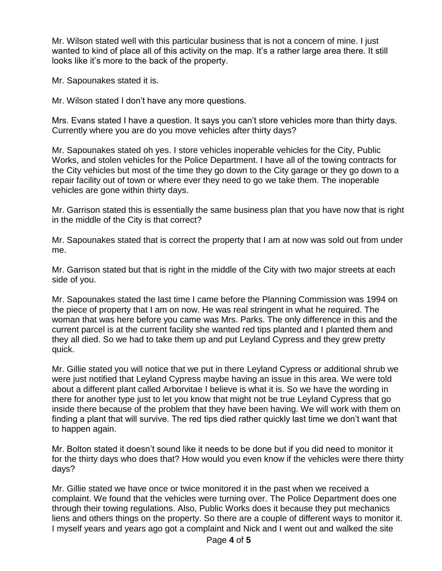Mr. Wilson stated well with this particular business that is not a concern of mine. I just wanted to kind of place all of this activity on the map. It's a rather large area there. It still looks like it's more to the back of the property.

Mr. Sapounakes stated it is.

Mr. Wilson stated I don't have any more questions.

Mrs. Evans stated I have a question. It says you can't store vehicles more than thirty days. Currently where you are do you move vehicles after thirty days?

Mr. Sapounakes stated oh yes. I store vehicles inoperable vehicles for the City, Public Works, and stolen vehicles for the Police Department. I have all of the towing contracts for the City vehicles but most of the time they go down to the City garage or they go down to a repair facility out of town or where ever they need to go we take them. The inoperable vehicles are gone within thirty days.

Mr. Garrison stated this is essentially the same business plan that you have now that is right in the middle of the City is that correct?

Mr. Sapounakes stated that is correct the property that I am at now was sold out from under me.

Mr. Garrison stated but that is right in the middle of the City with two major streets at each side of you.

Mr. Sapounakes stated the last time I came before the Planning Commission was 1994 on the piece of property that I am on now. He was real stringent in what he required. The woman that was here before you came was Mrs. Parks. The only difference in this and the current parcel is at the current facility she wanted red tips planted and I planted them and they all died. So we had to take them up and put Leyland Cypress and they grew pretty quick.

Mr. Gillie stated you will notice that we put in there Leyland Cypress or additional shrub we were just notified that Leyland Cypress maybe having an issue in this area. We were told about a different plant called Arborvitae I believe is what it is. So we have the wording in there for another type just to let you know that might not be true Leyland Cypress that go inside there because of the problem that they have been having. We will work with them on finding a plant that will survive. The red tips died rather quickly last time we don't want that to happen again.

Mr. Bolton stated it doesn't sound like it needs to be done but if you did need to monitor it for the thirty days who does that? How would you even know if the vehicles were there thirty days?

Mr. Gillie stated we have once or twice monitored it in the past when we received a complaint. We found that the vehicles were turning over. The Police Department does one through their towing regulations. Also, Public Works does it because they put mechanics liens and others things on the property. So there are a couple of different ways to monitor it. I myself years and years ago got a complaint and Nick and I went out and walked the site